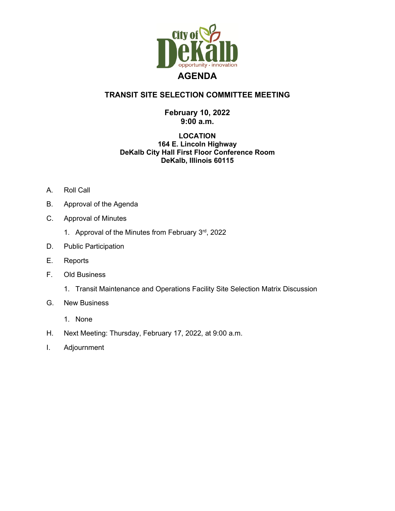

## **TRANSIT SITE SELECTION COMMITTEE MEETING**

## **February 10, 2022 9:00 a.m.**

## **LOCATION 164 E. Lincoln Highway DeKalb City Hall First Floor Conference Room DeKalb, Illinois 60115**

- A. Roll Call
- B. Approval of the Agenda
- C. Approval of Minutes
	- 1. Approval of the Minutes from February  $3<sup>rd</sup>$ , 2022
- D. Public Participation
- E. Reports
- F. Old Business
	- 1. Transit Maintenance and Operations Facility Site Selection Matrix Discussion
- G. New Business
	- 1. None
- H. Next Meeting: Thursday, February 17, 2022, at 9:00 a.m.
- I. Adjournment